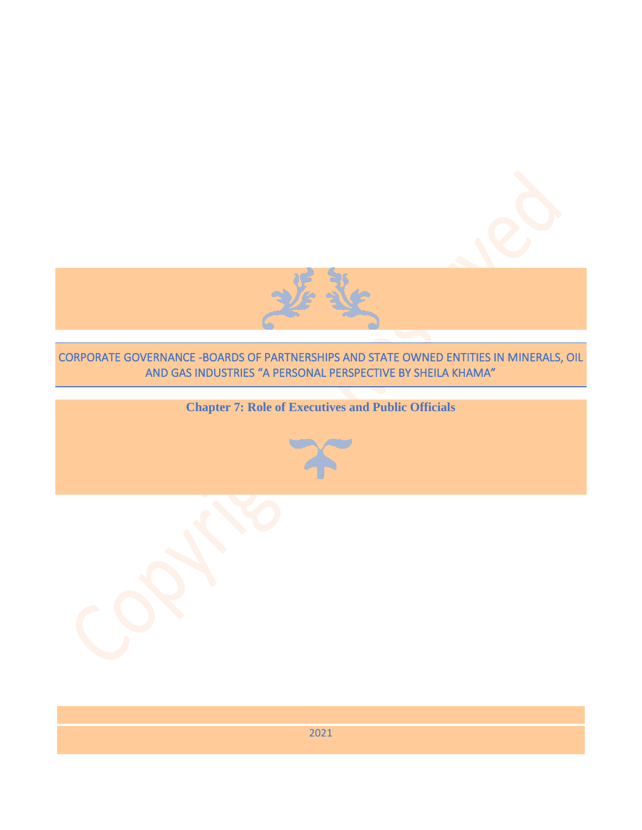

# CORPORATE GOVERNANCE -BOARDS OF PARTNERSHIPS AND STATE OWNED ENTITIES IN MINERALS, OIL AND GAS INDUSTRIES "A PERSONAL PERSPECTIVE BY SHEILA KHAMA"

# **Chapter 7: Role of Executives and Public Officials**



2021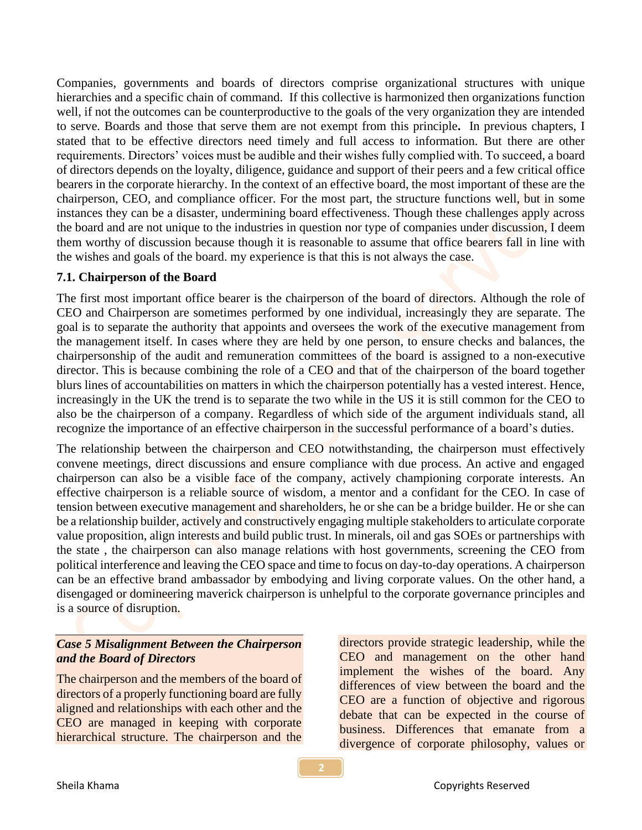Companies, governments and boards of directors comprise organizational structures with unique hierarchies and a specific chain of command. If this collective is harmonized then organizations function well, if not the outcomes can be counterproductive to the goals of the very organization they are intended to serve. Boards and those that serve them are not exempt from this principle**.** In previous chapters, I stated that to be effective directors need timely and full access to information. But there are other requirements. Directors' voices must be audible and their wishes fully complied with. To succeed, a board of directors depends on the loyalty, diligence, guidance and support of their peers and a few critical office bearers in the corporate hierarchy. In the context of an effective board, the most important of these are the chairperson, CEO, and compliance officer. For the most part, the structure functions well, but in some instances they can be a disaster, undermining board effectiveness. Though these challenges apply across the board and are not unique to the industries in question nor type of companies under discussion, I deem them worthy of discussion because though it is reasonable to assume that office bearers fall in line with the wishes and goals of the board. my experience is that this is not always the case.

## **7.1. Chairperson of the Board**

The first most important office bearer is the chairperson of the board of directors. Although the role of CEO and Chairperson are sometimes performed by one individual, increasingly they are separate. The goal is to separate the authority that appoints and oversees the work of the executive management from the management itself. In cases where they are held by one person, to ensure checks and balances, the chairpersonship of the audit and remuneration committees of the board is assigned to a non-executive director. This is because combining the role of a CEO and that of the chairperson of the board together blurs lines of accountabilities on matters in which the chairperson potentially has a vested interest. Hence, increasingly in the UK the trend is to separate the two while in the US it is still common for the CEO to also be the chairperson of a company. Regardless of which side of the argument individuals stand, all recognize the importance of an effective chairperson in the successful performance of a board's duties.

The relationship between the chairperson and CEO notwithstanding, the chairperson must effectively convene meetings, direct discussions and ensure compliance with due process. An active and engaged chairperson can also be a visible face of the company, actively championing corporate interests. An effective chairperson is a reliable source of wisdom, a mentor and a confidant for the CEO. In case of tension between executive management and shareholders, he or she can be a bridge builder. He or she can be a relationship builder, actively and constructively engaging multiple stakeholders to articulate corporate value proposition, align interests and build public trust. In minerals, oil and gas SOEs or partnerships with the state , the chairperson can also manage relations with host governments, screening the CEO from political interference and leaving the CEO space and time to focus on day-to-day operations. A chairperson can be an effective brand ambassador by embodying and living corporate values. On the other hand, a disengaged or domineering maverick chairperson is unhelpful to the corporate governance principles and is a source of disruption.

# *Case 5 Misalignment Between the Chairperson and the Board of Directors*

The chairperson and the members of the board of directors of a properly functioning board are fully aligned and relationships with each other and the CEO are managed in keeping with corporate hierarchical structure. The chairperson and the directors provide strategic leadership, while the CEO and management on the other hand implement the wishes of the board. Any differences of view between the board and the CEO are a function of objective and rigorous debate that can be expected in the course of business. Differences that emanate from a divergence of corporate philosophy, values or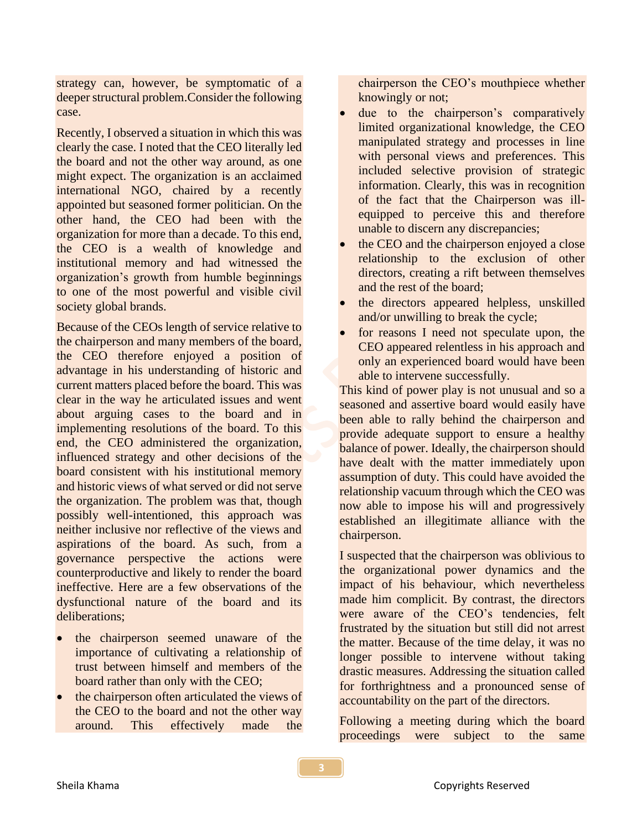strategy can, however, be symptomatic of a deeper structural problem.Consider the following case.

Recently, I observed a situation in which this was clearly the case. I noted that the CEO literally led the board and not the other way around, as one might expect. The organization is an acclaimed international NGO, chaired by a recently appointed but seasoned former politician. On the other hand, the CEO had been with the organization for more than a decade. To this end, the CEO is a wealth of knowledge and institutional memory and had witnessed the organization's growth from humble beginnings to one of the most powerful and visible civil society global brands.

Because of the CEOs length of service relative to the chairperson and many members of the board, the CEO therefore enjoyed a position of advantage in his understanding of historic and current matters placed before the board. This was clear in the way he articulated issues and went about arguing cases to the board and in implementing resolutions of the board. To this end, the CEO administered the organization, influenced strategy and other decisions of the board consistent with his institutional memory and historic views of what served or did not serve the organization. The problem was that, though possibly well-intentioned, this approach was neither inclusive nor reflective of the views and aspirations of the board. As such, from a governance perspective the actions were counterproductive and likely to render the board ineffective. Here are a few observations of the dysfunctional nature of the board and its deliberations;

- the chairperson seemed unaware of the importance of cultivating a relationship of trust between himself and members of the board rather than only with the CEO;
- the chairperson often articulated the views of the CEO to the board and not the other way around. This effectively made the

chairperson the CEO's mouthpiece whether knowingly or not;

- due to the chairperson's comparatively limited organizational knowledge, the CEO manipulated strategy and processes in line with personal views and preferences. This included selective provision of strategic information. Clearly, this was in recognition of the fact that the Chairperson was illequipped to perceive this and therefore unable to discern any discrepancies;
- the CEO and the chairperson enjoyed a close relationship to the exclusion of other directors, creating a rift between themselves and the rest of the board;
- the directors appeared helpless, unskilled and/or unwilling to break the cycle;
- for reasons I need not speculate upon, the CEO appeared relentless in his approach and only an experienced board would have been able to intervene successfully.

This kind of power play is not unusual and so a seasoned and assertive board would easily have been able to rally behind the chairperson and provide adequate support to ensure a healthy balance of power. Ideally, the chairperson should have dealt with the matter immediately upon assumption of duty. This could have avoided the relationship vacuum through which the CEO was now able to impose his will and progressively established an illegitimate alliance with the chairperson.

I suspected that the chairperson was oblivious to the organizational power dynamics and the impact of his behaviour, which nevertheless made him complicit. By contrast, the directors were aware of the CEO's tendencies, felt frustrated by the situation but still did not arrest the matter. Because of the time delay, it was no longer possible to intervene without taking drastic measures. Addressing the situation called for forthrightness and a pronounced sense of accountability on the part of the directors.

Following a meeting during which the board proceedings were subject to the same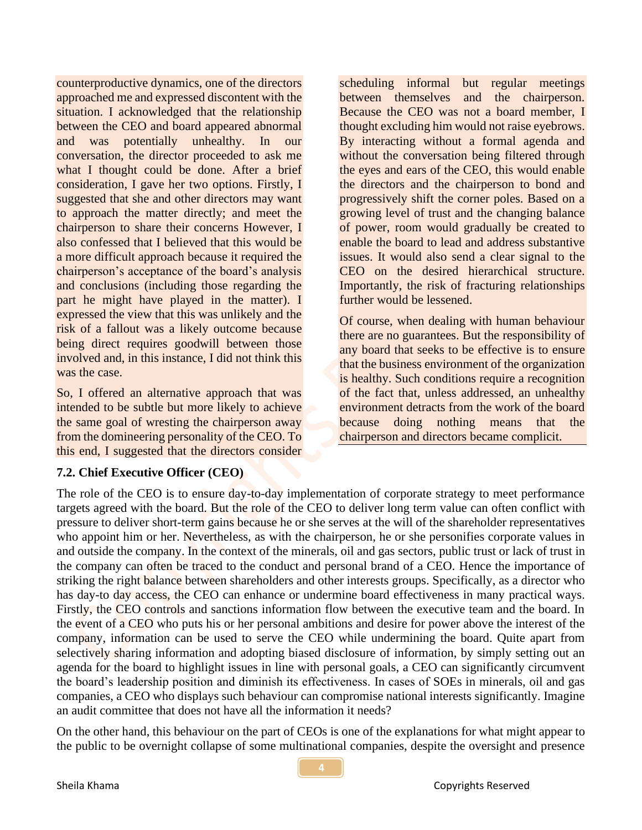counterproductive dynamics, one of the directors approached me and expressed discontent with the situation. I acknowledged that the relationship between the CEO and board appeared abnormal and was potentially unhealthy. In our conversation, the director proceeded to ask me what I thought could be done. After a brief consideration, I gave her two options. Firstly, I suggested that she and other directors may want to approach the matter directly; and meet the chairperson to share their concerns However, I also confessed that I believed that this would be a more difficult approach because it required the chairperson's acceptance of the board's analysis and conclusions (including those regarding the part he might have played in the matter). I expressed the view that this was unlikely and the risk of a fallout was a likely outcome because being direct requires goodwill between those involved and, in this instance, I did not think this was the case.

So, I offered an alternative approach that was intended to be subtle but more likely to achieve the same goal of wresting the chairperson away from the domineering personality of the CEO. To this end, I suggested that the directors consider

scheduling informal but regular meetings between themselves and the chairperson. Because the CEO was not a board member, I thought excluding him would not raise eyebrows. By interacting without a formal agenda and without the conversation being filtered through the eyes and ears of the CEO, this would enable the directors and the chairperson to bond and progressively shift the corner poles. Based on a growing level of trust and the changing balance of power, room would gradually be created to enable the board to lead and address substantive issues. It would also send a clear signal to the CEO on the desired hierarchical structure. Importantly, the risk of fracturing relationships further would be lessened.

Of course, when dealing with human behaviour there are no guarantees. But the responsibility of any board that seeks to be effective is to ensure that the business environment of the organization is healthy. Such conditions require a recognition of the fact that, unless addressed, an unhealthy environment detracts from the work of the board because doing nothing means that the chairperson and directors became complicit.

#### **7.2. Chief Executive Officer (CEO)**

The role of the CEO is to ensure day-to-day implementation of corporate strategy to meet performance targets agreed with the board. But the role of the CEO to deliver long term value can often conflict with pressure to deliver short-term gains because he or she serves at the will of the shareholder representatives who appoint him or her. Nevertheless, as with the chairperson, he or she personifies corporate values in and outside the company. In the context of the minerals, oil and gas sectors, public trust or lack of trust in the company can often be traced to the conduct and personal brand of a CEO. Hence the importance of striking the right balance between shareholders and other interests groups. Specifically, as a director who has day-to day access, the CEO can enhance or undermine board effectiveness in many practical ways. Firstly, the CEO controls and sanctions information flow between the executive team and the board. In the event of a CEO who puts his or her personal ambitions and desire for power above the interest of the company, information can be used to serve the CEO while undermining the board. Quite apart from selectively sharing information and adopting biased disclosure of information, by simply setting out an agenda for the board to highlight issues in line with personal goals, a CEO can significantly circumvent the board's leadership position and diminish its effectiveness. In cases of SOEs in minerals, oil and gas companies, a CEO who displays such behaviour can compromise national interests significantly. Imagine an audit committee that does not have all the information it needs?

On the other hand, this behaviour on the part of CEOs is one of the explanations for what might appear to the public to be overnight collapse of some multinational companies, despite the oversight and presence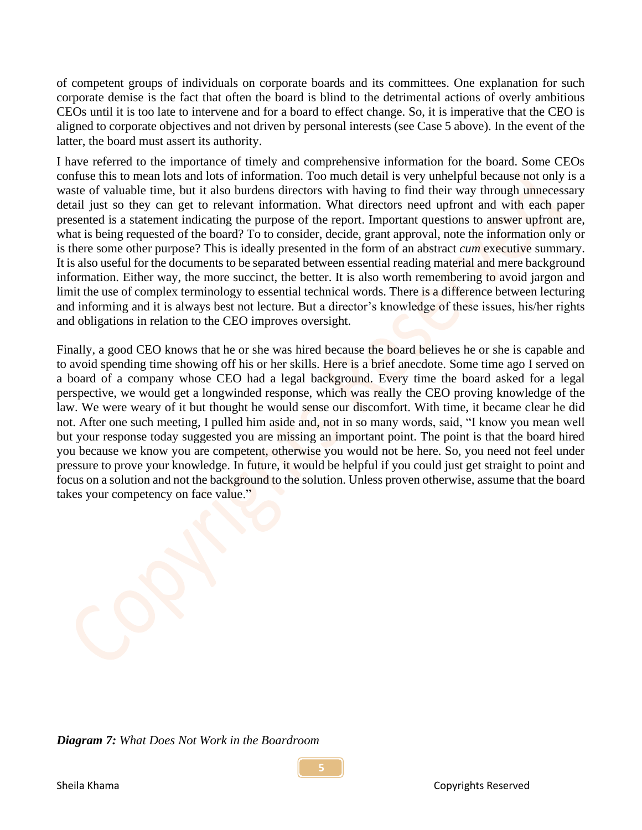of competent groups of individuals on corporate boards and its committees. One explanation for such corporate demise is the fact that often the board is blind to the detrimental actions of overly ambitious CEOs until it is too late to intervene and for a board to effect change. So, it is imperative that the CEO is aligned to corporate objectives and not driven by personal interests (see Case 5 above). In the event of the latter, the board must assert its authority.

I have referred to the importance of timely and comprehensive information for the board. Some CEOs confuse this to mean lots and lots of information. Too much detail is very unhelpful because not only is a waste of valuable time, but it also burdens directors with having to find their way through unnecessary detail just so they can get to relevant information. What directors need upfront and with each paper presented is a statement indicating the purpose of the report. Important questions to answer upfront are, what is being requested of the board? To to consider, decide, grant approval, note the information only or is there some other purpose? This is ideally presented in the form of an abstract *cum* executive summary. It is also useful for the documents to be separated between essential reading material and mere background information. Either way, the more succinct, the better. It is also worth remembering to avoid jargon and limit the use of complex terminology to essential technical words. There is a difference between lecturing and informing and it is always best not lecture. But a director's knowledge of these issues, his/her rights and obligations in relation to the CEO improves oversight.

Finally, a good CEO knows that he or she was hired because the board believes he or she is capable and to avoid spending time showing off his or her skills. Here is a brief anecdote. Some time ago I served on a board of a company whose CEO had a legal background. Every time the board asked for a legal perspective, we would get a longwinded response, which was really the CEO proving knowledge of the law. We were weary of it but thought he would sense our discomfort. With time, it became clear he did not. After one such meeting, I pulled him aside and, not in so many words, said, "I know you mean well but your response today suggested you are missing an important point. The point is that the board hired you because we know you are competent, otherwise you would not be here. So, you need not feel under pressure to prove your knowledge. In future, it would be helpful if you could just get straight to point and focus on a solution and not the background to the solution. Unless proven otherwise, assume that the board takes your competency on face value."

*Diagram 7: What Does Not Work in the Boardroom*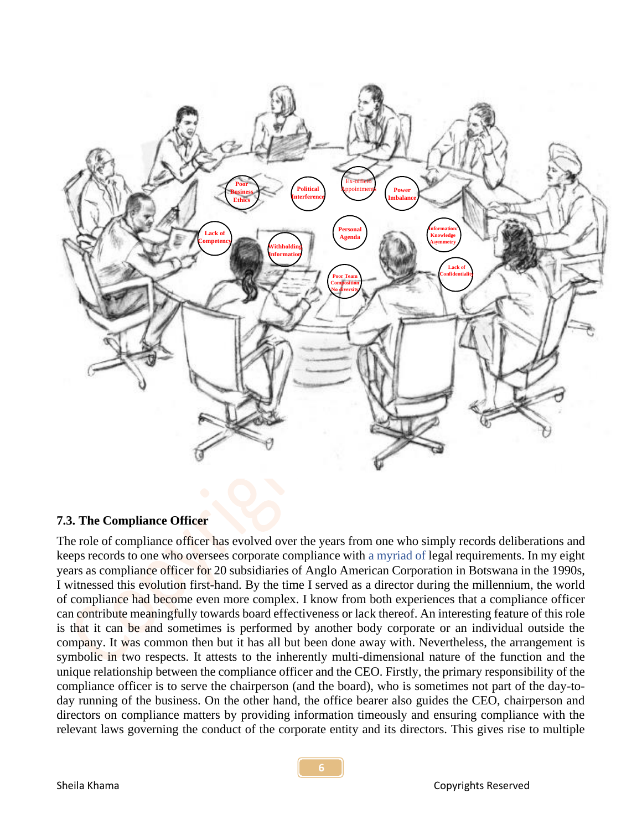

#### **7.3. The Compliance Officer**

The role of compliance officer has evolved over the years from one who simply records deliberations and keeps records to one who oversees corporate compliance with a myriad of legal requirements. In my eight years as compliance officer for 20 subsidiaries of Anglo American Corporation in Botswana in the 1990s, I witnessed this evolution first-hand. By the time I served as a director during the millennium, the world of compliance had become even more complex. I know from both experiences that a compliance officer can contribute meaningfully towards board effectiveness or lack thereof. An interesting feature of this role is that it can be and sometimes is performed by another body corporate or an individual outside the company. It was common then but it has all but been done away with. Nevertheless, the arrangement is symbolic in two respects. It attests to the inherently multi-dimensional nature of the function and the unique relationship between the compliance officer and the CEO. Firstly, the primary responsibility of the compliance officer is to serve the chairperson (and the board), who is sometimes not part of the day-today running of the business. On the other hand, the office bearer also guides the CEO, chairperson and directors on compliance matters by providing information timeously and ensuring compliance with the relevant laws governing the conduct of the corporate entity and its directors. This gives rise to multiple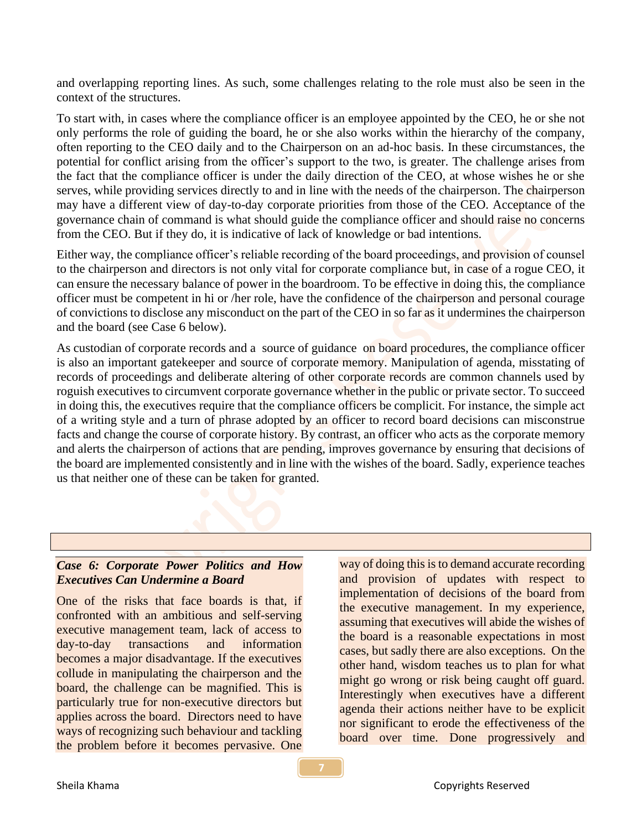and overlapping reporting lines. As such, some challenges relating to the role must also be seen in the context of the structures.

To start with, in cases where the compliance officer is an employee appointed by the CEO, he or she not only performs the role of guiding the board, he or she also works within the hierarchy of the company, often reporting to the CEO daily and to the Chairperson on an ad-hoc basis. In these circumstances, the potential for conflict arising from the officer's support to the two, is greater. The challenge arises from the fact that the compliance officer is under the daily direction of the CEO, at whose wishes he or she serves, while providing services directly to and in line with the needs of the chairperson. The chairperson may have a different view of day-to-day corporate priorities from those of the CEO. Acceptance of the governance chain of command is what should guide the compliance officer and should raise no concerns from the CEO. But if they do, it is indicative of lack of knowledge or bad intentions.

Either way, the compliance officer's reliable recording of the board proceedings, and provision of counsel to the chairperson and directors is not only vital for corporate compliance but, in case of a rogue CEO, it can ensure the necessary balance of power in the boardroom. To be effective in doing this, the compliance officer must be competent in hi or /her role, have the confidence of the chairperson and personal courage of convictions to disclose any misconduct on the part of the CEO in so far as it undermines the chairperson and the board (see Case 6 below).

As custodian of corporate records and a source of guidance on board procedures, the compliance officer is also an important gatekeeper and source of corporate memory. Manipulation of agenda, misstating of records of proceedings and deliberate altering of other corporate records are common channels used by roguish executives to circumvent corporate governance whether in the public or private sector. To succeed in doing this, the executives require that the compliance officers be complicit. For instance, the simple act of a writing style and a turn of phrase adopted by an officer to record board decisions can misconstrue facts and change the course of corporate history. By contrast, an officer who acts as the corporate memory and alerts the chairperson of actions that are pending, improves governance by ensuring that decisions of the board are implemented consistently and in line with the wishes of the board. Sadly, experience teaches us that neither one of these can be taken for granted.

## *Case 6: Corporate Power Politics and How Executives Can Undermine a Board*

One of the risks that face boards is that, if confronted with an ambitious and self-serving executive management team, lack of access to day-to-day transactions and information becomes a major disadvantage. If the executives collude in manipulating the chairperson and the board, the challenge can be magnified. This is particularly true for non-executive directors but applies across the board. Directors need to have ways of recognizing such behaviour and tackling the problem before it becomes pervasive. One

way of doing this is to demand accurate recording and provision of updates with respect to implementation of decisions of the board from the executive management. In my experience, assuming that executives will abide the wishes of the board is a reasonable expectations in most cases, but sadly there are also exceptions. On the other hand, wisdom teaches us to plan for what might go wrong or risk being caught off guard. Interestingly when executives have a different agenda their actions neither have to be explicit nor significant to erode the effectiveness of the board over time. Done progressively and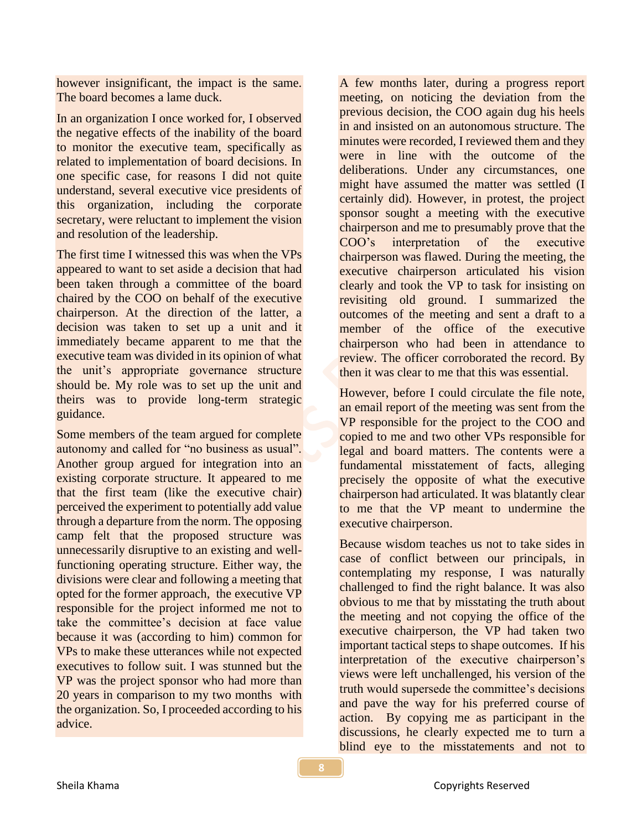however insignificant, the impact is the same. The board becomes a lame duck.

In an organization I once worked for, I observed the negative effects of the inability of the board to monitor the executive team, specifically as related to implementation of board decisions. In one specific case, for reasons I did not quite understand, several executive vice presidents of this organization, including the corporate secretary, were reluctant to implement the vision and resolution of the leadership.

The first time I witnessed this was when the VPs appeared to want to set aside a decision that had been taken through a committee of the board chaired by the COO on behalf of the executive chairperson. At the direction of the latter, a decision was taken to set up a unit and it immediately became apparent to me that the executive team was divided in its opinion of what the unit's appropriate governance structure should be. My role was to set up the unit and theirs was to provide long-term strategic guidance.

Some members of the team argued for complete autonomy and called for "no business as usual". Another group argued for integration into an existing corporate structure. It appeared to me that the first team (like the executive chair) perceived the experiment to potentially add value through a departure from the norm. The opposing camp felt that the proposed structure was unnecessarily disruptive to an existing and wellfunctioning operating structure. Either way, the divisions were clear and following a meeting that opted for the former approach, the executive VP responsible for the project informed me not to take the committee's decision at face value because it was (according to him) common for VPs to make these utterances while not expected executives to follow suit. I was stunned but the VP was the project sponsor who had more than 20 years in comparison to my two months with the organization. So, I proceeded according to his advice.

A few months later, during a progress report meeting, on noticing the deviation from the previous decision, the COO again dug his heels in and insisted on an autonomous structure. The minutes were recorded, I reviewed them and they were in line with the outcome of the deliberations. Under any circumstances, one might have assumed the matter was settled (I certainly did). However, in protest, the project sponsor sought a meeting with the executive chairperson and me to presumably prove that the COO's interpretation of the executive chairperson was flawed. During the meeting, the executive chairperson articulated his vision clearly and took the VP to task for insisting on revisiting old ground. I summarized the outcomes of the meeting and sent a draft to a member of the office of the executive chairperson who had been in attendance to review. The officer corroborated the record. By then it was clear to me that this was essential.

However, before I could circulate the file note, an email report of the meeting was sent from the VP responsible for the project to the COO and copied to me and two other VPs responsible for legal and board matters. The contents were a fundamental misstatement of facts, alleging precisely the opposite of what the executive chairperson had articulated. It was blatantly clear to me that the VP meant to undermine the executive chairperson.

Because wisdom teaches us not to take sides in case of conflict between our principals, in contemplating my response, I was naturally challenged to find the right balance. It was also obvious to me that by misstating the truth about the meeting and not copying the office of the executive chairperson, the VP had taken two important tactical steps to shape outcomes. If his interpretation of the executive chairperson's views were left unchallenged, his version of the truth would supersede the committee's decisions and pave the way for his preferred course of action. By copying me as participant in the discussions, he clearly expected me to turn a blind eye to the misstatements and not to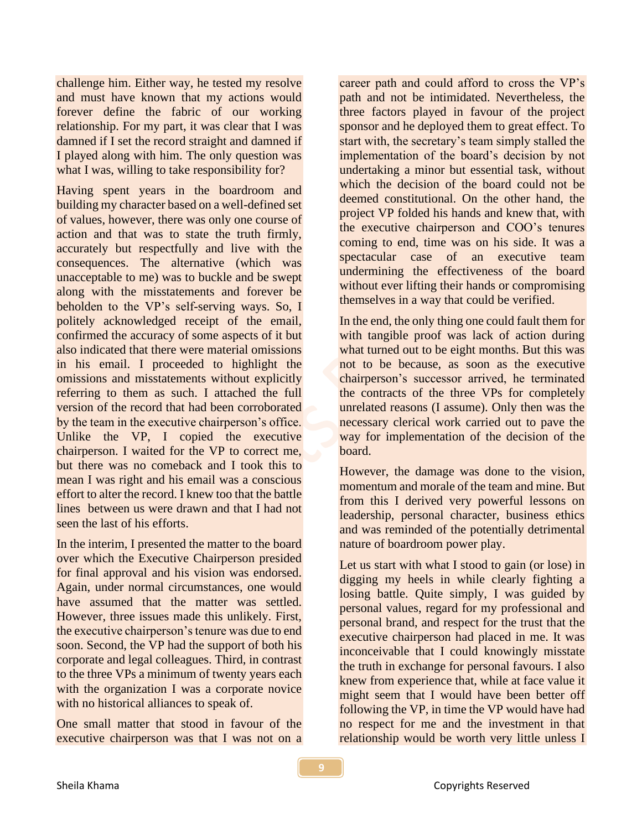challenge him. Either way, he tested my resolve and must have known that my actions would forever define the fabric of our working relationship. For my part, it was clear that I was damned if I set the record straight and damned if I played along with him. The only question was what I was, willing to take responsibility for?

Having spent years in the boardroom and building my character based on a well-defined set of values, however, there was only one course of action and that was to state the truth firmly, accurately but respectfully and live with the consequences. The alternative (which was unacceptable to me) was to buckle and be swept along with the misstatements and forever be beholden to the VP's self-serving ways. So, I politely acknowledged receipt of the email, confirmed the accuracy of some aspects of it but also indicated that there were material omissions in his email. I proceeded to highlight the omissions and misstatements without explicitly referring to them as such. I attached the full version of the record that had been corroborated by the team in the executive chairperson's office. Unlike the VP, I copied the executive chairperson. I waited for the VP to correct me, but there was no comeback and I took this to mean I was right and his email was a conscious effort to alter the record. I knew too that the battle lines between us were drawn and that I had not seen the last of his efforts.

In the interim, I presented the matter to the board over which the Executive Chairperson presided for final approval and his vision was endorsed. Again, under normal circumstances, one would have assumed that the matter was settled. However, three issues made this unlikely. First, the executive chairperson's tenure was due to end soon. Second, the VP had the support of both his corporate and legal colleagues. Third, in contrast to the three VPs a minimum of twenty years each with the organization I was a corporate novice with no historical alliances to speak of.

One small matter that stood in favour of the executive chairperson was that I was not on a

career path and could afford to cross the VP's path and not be intimidated. Nevertheless, the three factors played in favour of the project sponsor and he deployed them to great effect. To start with, the secretary's team simply stalled the implementation of the board's decision by not undertaking a minor but essential task, without which the decision of the board could not be deemed constitutional. On the other hand, the project VP folded his hands and knew that, with the executive chairperson and COO's tenures coming to end, time was on his side. It was a spectacular case of an executive team undermining the effectiveness of the board without ever lifting their hands or compromising themselves in a way that could be verified.

In the end, the only thing one could fault them for with tangible proof was lack of action during what turned out to be eight months. But this was not to be because, as soon as the executive chairperson's successor arrived, he terminated the contracts of the three VPs for completely unrelated reasons (I assume). Only then was the necessary clerical work carried out to pave the way for implementation of the decision of the board.

However, the damage was done to the vision, momentum and morale of the team and mine. But from this I derived very powerful lessons on leadership, personal character, business ethics and was reminded of the potentially detrimental nature of boardroom power play.

Let us start with what I stood to gain (or lose) in digging my heels in while clearly fighting a losing battle. Quite simply, I was guided by personal values, regard for my professional and personal brand, and respect for the trust that the executive chairperson had placed in me. It was inconceivable that I could knowingly misstate the truth in exchange for personal favours. I also knew from experience that, while at face value it might seem that I would have been better off following the VP, in time the VP would have had no respect for me and the investment in that relationship would be worth very little unless I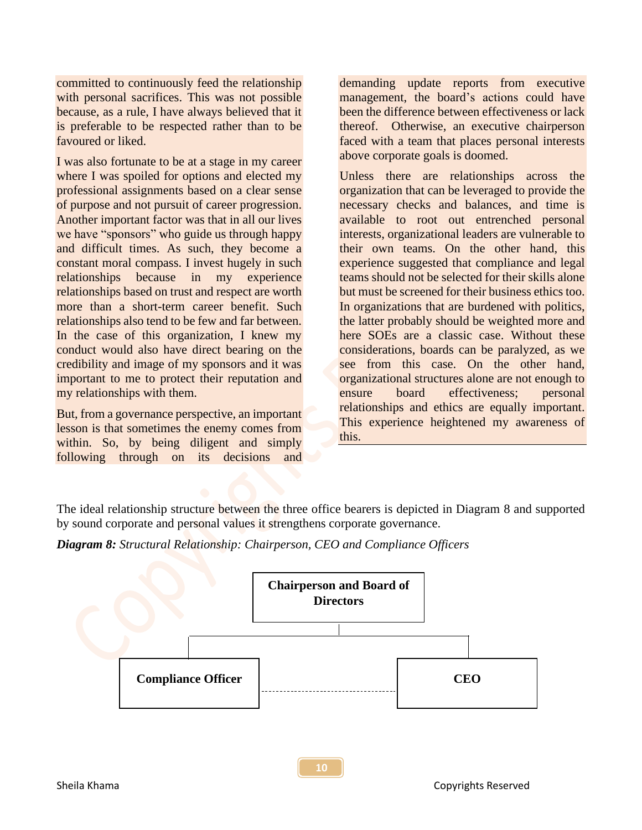committed to continuously feed the relationship with personal sacrifices. This was not possible because, as a rule, I have always believed that it is preferable to be respected rather than to be favoured or liked.

I was also fortunate to be at a stage in my career where I was spoiled for options and elected my professional assignments based on a clear sense of purpose and not pursuit of career progression. Another important factor was that in all our lives we have "sponsors" who guide us through happy and difficult times. As such, they become a constant moral compass. I invest hugely in such relationships because in my experience relationships based on trust and respect are worth more than a short-term career benefit. Such relationships also tend to be few and far between. In the case of this organization, I knew my conduct would also have direct bearing on the credibility and image of my sponsors and it was important to me to protect their reputation and my relationships with them.

But, from a governance perspective, an important lesson is that sometimes the enemy comes from within. So, by being diligent and simply following through on its decisions and demanding update reports from executive management, the board's actions could have been the difference between effectiveness or lack thereof. Otherwise, an executive chairperson faced with a team that places personal interests above corporate goals is doomed.

Unless there are relationships across the organization that can be leveraged to provide the necessary checks and balances, and time is available to root out entrenched personal interests, organizational leaders are vulnerable to their own teams. On the other hand, this experience suggested that compliance and legal teams should not be selected for their skills alone but must be screened for their business ethics too. In organizations that are burdened with politics, the latter probably should be weighted more and here SOEs are a classic case. Without these considerations, boards can be paralyzed, as we see from this case. On the other hand, organizational structures alone are not enough to ensure board effectiveness; personal relationships and ethics are equally important. This experience heightened my awareness of this.

The ideal relationship structure between the three office bearers is depicted in Diagram 8 and supported by sound corporate and personal values it strengthens corporate governance.

*Diagram 8: Structural Relationship: Chairperson, CEO and Compliance Officers*

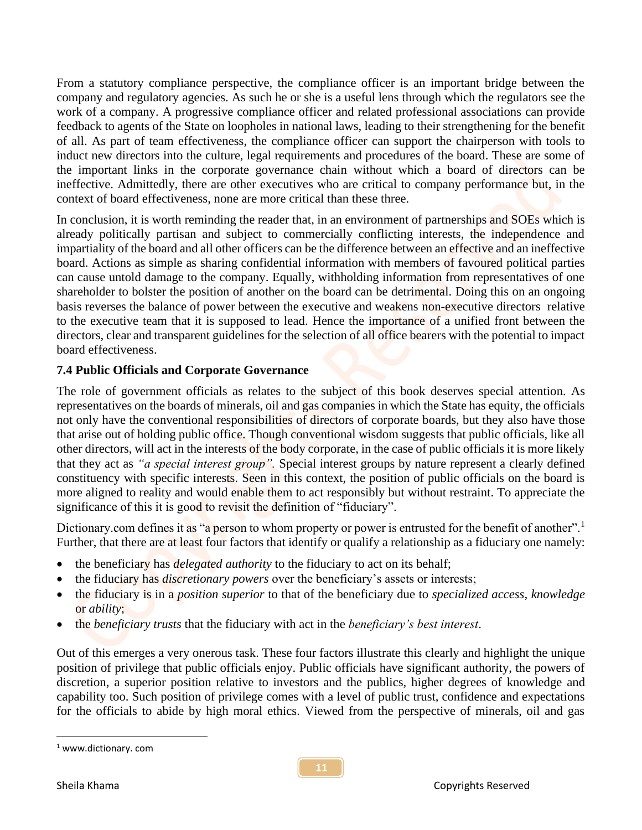From a statutory compliance perspective, the compliance officer is an important bridge between the company and regulatory agencies. As such he or she is a useful lens through which the regulators see the work of a company. A progressive compliance officer and related professional associations can provide feedback to agents of the State on loopholes in national laws, leading to their strengthening for the benefit of all. As part of team effectiveness, the compliance officer can support the chairperson with tools to induct new directors into the culture, legal requirements and procedures of the board. These are some of the important links in the corporate governance chain without which a board of directors can be ineffective. Admittedly, there are other executives who are critical to company performance but, in the context of board effectiveness, none are more critical than these three.

In conclusion, it is worth reminding the reader that, in an environment of partnerships and SOEs which is already politically partisan and subject to commercially conflicting interests, the independence and impartiality of the board and all other officers can be the difference between an effective and an ineffective board. Actions as simple as sharing confidential information with members of favoured political parties can cause untold damage to the company. Equally, withholding information from representatives of one shareholder to bolster the position of another on the board can be detrimental. Doing this on an ongoing basis reverses the balance of power between the executive and weakens non-executive directors relative to the executive team that it is supposed to lead. Hence the importance of a unified front between the directors, clear and transparent guidelines for the selection of all office bearers with the potential to impact board effectiveness.

## **7.4 Public Officials and Corporate Governance**

The role of government officials as relates to the subject of this book deserves special attention. As representatives on the boards of minerals, oil and gas companies in which the State has equity, the officials not only have the conventional responsibilities of directors of corporate boards, but they also have those that arise out of holding public office. Though conventional wisdom suggests that public officials, like all other directors, will act in the interests of the body corporate, in the case of public officials it is more likely that they act as *"a special interest group".* Special interest groups by nature represent a clearly defined constituency with specific interests. Seen in this context, the position of public officials on the board is more aligned to reality and would enable them to act responsibly but without restraint. To appreciate the significance of this it is good to revisit the definition of "fiduciary".

Dictionary.com defines it as "a person to whom property or power is entrusted for the benefit of another".<sup>1</sup> Further, that there are at least four factors that identify or qualify a relationship as a fiduciary one namely:

- the beneficiary has *delegated authority* to the fiduciary to act on its behalf;
- the fiduciary has *discretionary powers* over the beneficiary's assets or interests;
- the fiduciary is in a *position superior* to that of the beneficiary due to *specialized access*, *knowledge* or *ability*;
- the *beneficiary trusts* that the fiduciary with act in the *beneficiary's best interest*.

Out of this emerges a very onerous task. These four factors illustrate this clearly and highlight the unique position of privilege that public officials enjoy. Public officials have significant authority, the powers of discretion, a superior position relative to investors and the publics, higher degrees of knowledge and capability too. Such position of privilege comes with a level of public trust, confidence and expectations for the officials to abide by high moral ethics. Viewed from the perspective of minerals, oil and gas

<sup>1</sup> www.dictionary. com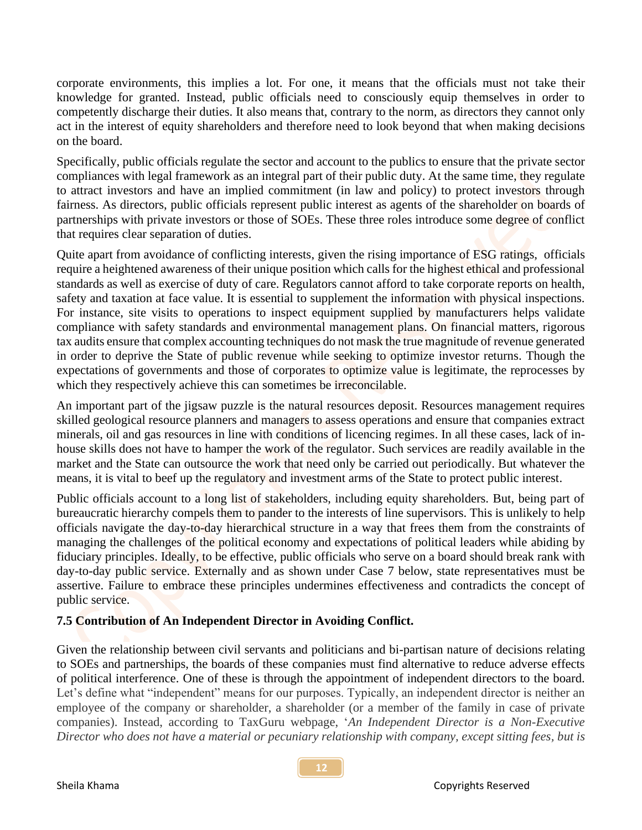corporate environments, this implies a lot. For one, it means that the officials must not take their knowledge for granted. Instead, public officials need to consciously equip themselves in order to competently discharge their duties. It also means that, contrary to the norm, as directors they cannot only act in the interest of equity shareholders and therefore need to look beyond that when making decisions on the board.

Specifically, public officials regulate the sector and account to the publics to ensure that the private sector compliances with legal framework as an integral part of their public duty. At the same time, they regulate to attract investors and have an implied commitment (in law and policy) to protect investors through fairness. As directors, public officials represent public interest as agents of the shareholder on boards of partnerships with private investors or those of SOEs. These three roles introduce some degree of conflict that requires clear separation of duties.

Quite apart from avoidance of conflicting interests, given the rising importance of ESG ratings, officials require a heightened awareness of their unique position which calls for the highest ethical and professional standards as well as exercise of duty of care. Regulators cannot afford to take corporate reports on health, safety and taxation at face value. It is essential to supplement the information with physical inspections. For instance, site visits to operations to inspect equipment supplied by manufacturers helps validate compliance with safety standards and environmental management plans. On financial matters, rigorous tax audits ensure that complex accounting techniques do not mask the true magnitude of revenue generated in order to deprive the State of public revenue while seeking to optimize investor returns. Though the expectations of governments and those of corporates to optimize value is legitimate, the reprocesses by which they respectively achieve this can sometimes be irreconcilable.

An important part of the jigsaw puzzle is the natural resources deposit. Resources management requires skilled geological resource planners and managers to assess operations and ensure that companies extract minerals, oil and gas resources in line with conditions of licencing regimes. In all these cases, lack of inhouse skills does not have to hamper the work of the regulator. Such services are readily available in the market and the State can outsource the work that need only be carried out periodically. But whatever the means, it is vital to beef up the regulatory and investment arms of the State to protect public interest.

Public officials account to a long list of stakeholders, including equity shareholders. But, being part of bureaucratic hierarchy compels them to pander to the interests of line supervisors. This is unlikely to help officials navigate the day-to-day hierarchical structure in a way that frees them from the constraints of managing the challenges of the political economy and expectations of political leaders while abiding by fiduciary principles. Ideally, to be effective, public officials who serve on a board should break rank with day-to-day public service. Externally and as shown under Case 7 below, state representatives must be assertive. Failure to embrace these principles undermines effectiveness and contradicts the concept of public service.

# **7.5 Contribution of An Independent Director in Avoiding Conflict.**

Given the relationship between civil servants and politicians and bi-partisan nature of decisions relating to SOEs and partnerships, the boards of these companies must find alternative to reduce adverse effects of political interference. One of these is through the appointment of independent directors to the board. Let's define what "independent" means for our purposes. Typically, an independent director is neither an employee of the company or shareholder, a shareholder (or a member of the family in case of private companies). Instead, according to TaxGuru webpage, '*An Independent Director is a Non-Executive Director who does not have a material or pecuniary relationship with company, except sitting fees, but is*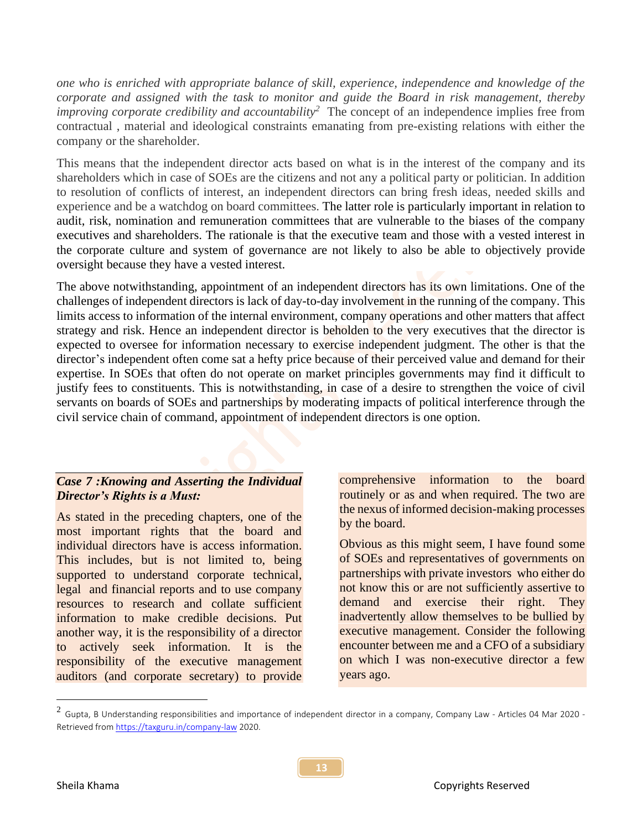*one who is enriched with appropriate balance of skill, experience, independence and knowledge of the corporate and assigned with the task to monitor and guide the Board in risk management, thereby improving corporate credibility and accountability<sup>2</sup>* The concept of an independence implies free from contractual , material and ideological constraints emanating from pre-existing relations with either the company or the shareholder.

This means that the independent director acts based on what is in the interest of the company and its shareholders which in case of SOEs are the citizens and not any a political party or politician. In addition to resolution of conflicts of interest, an independent directors can bring fresh ideas, needed skills and experience and be a watchdog on board committees. The latter role is particularly important in relation to audit, risk, nomination and remuneration committees that are vulnerable to the biases of the company executives and shareholders. The rationale is that the executive team and those with a vested interest in the corporate culture and system of governance are not likely to also be able to objectively provide oversight because they have a vested interest.

The above notwithstanding, appointment of an independent directors has its own limitations. One of the challenges of independent directors is lack of day-to-day involvement in the running of the company. This limits access to information of the internal environment, company operations and other matters that affect strategy and risk. Hence an independent director is beholden to the very executives that the director is expected to oversee for information necessary to exercise independent judgment. The other is that the director's independent often come sat a hefty price because of their perceived value and demand for their expertise. In SOEs that often do not operate on market principles governments may find it difficult to justify fees to constituents. This is notwithstanding, in case of a desire to strengthen the voice of civil servants on boards of SOEs and partnerships by moderating impacts of political interference through the civil service chain of command, appointment of independent directors is one option.

## *Case 7 :Knowing and Asserting the Individual Director's Rights is a Must:*

As stated in the preceding chapters, one of the most important rights that the board and individual directors have is access information. This includes, but is not limited to, being supported to understand corporate technical, legal and financial reports and to use company resources to research and collate sufficient information to make credible decisions. Put another way, it is the responsibility of a director to actively seek information. It is the responsibility of the executive management auditors (and corporate secretary) to provide comprehensive information to the board routinely or as and when required. The two are the nexus of informed decision-making processes by the board.

Obvious as this might seem, I have found some of SOEs and representatives of governments on partnerships with private investors who either do not know this or are not sufficiently assertive to demand and exercise their right. They inadvertently allow themselves to be bullied by executive management. Consider the following encounter between me and a CFO of a subsidiary on which I was non-executive director a few years ago.

 $^2$  Gupta, B Understanding responsibilities and importance of independent director in a company, Company Law - Articles 04 Mar 2020 -Retrieved fro[m https://taxguru.in/company-law](https://taxguru.in/company-law) 2020.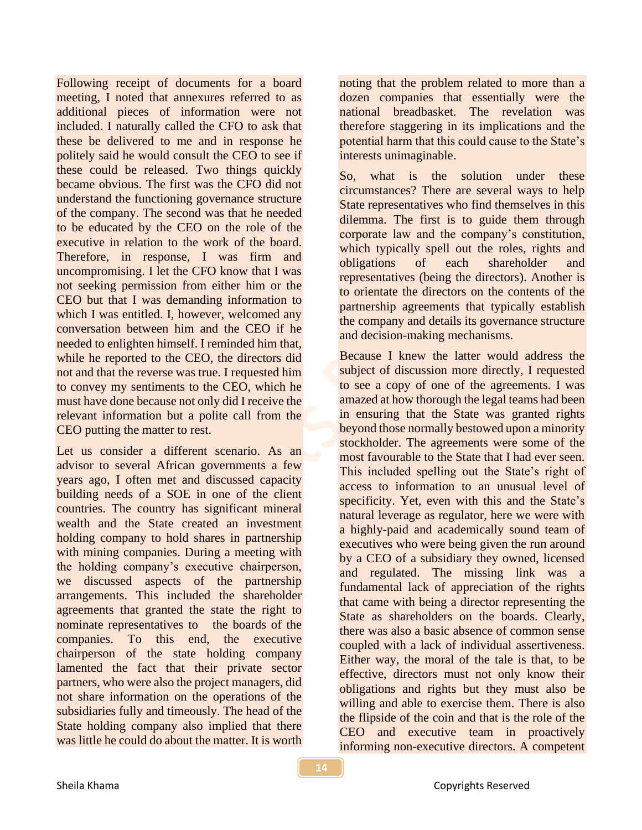Following receipt of documents for a board meeting, I noted that annexures referred to as additional pieces of information were not included. I naturally called the CFO to ask that these be delivered to me and in response he politely said he would consult the CEO to see if these could be released. Two things quickly became obvious. The first was the CFO did not understand the functioning governance structure of the company. The second was that he needed to be educated by the CEO on the role of the executive in relation to the work of the board. Therefore, in response, I was firm and uncompromising. I let the CFO know that I was not seeking permission from either him or the CEO but that I was demanding information to which I was entitled. I, however, welcomed any conversation between him and the CEO if he needed to enlighten himself. I reminded him that, while he reported to the CEO, the directors did not and that the reverse was true. I requested him to convey my sentiments to the CEO, which he must have done because not only did I receive the relevant information but a polite call from the CEO putting the matter to rest.

Let us consider a different scenario. As an advisor to several African governments a few years ago, I often met and discussed capacity building needs of a SOE in one of the client countries. The country has significant mineral wealth and the State created an investment holding company to hold shares in partnership with mining companies. During a meeting with the holding company's executive chairperson, we discussed aspects of the partnership arrangements. This included the shareholder agreements that granted the state the right to nominate representatives to the boards of the companies. To this end, the executive chairperson of the state holding company lamented the fact that their private sector partners, who were also the project managers, did not share information on the operations of the subsidiaries fully and timeously. The head of the State holding company also implied that there was little he could do about the matter. It is worth noting that the problem related to more than a dozen companies that essentially were the national breadbasket. The revelation was therefore staggering in its implications and the potential harm that this could cause to the State's interests unimaginable.

So, what is the solution under these circumstances? There are several ways to help State representatives who find themselves in this dilemma. The first is to guide them through corporate law and the company's constitution, which typically spell out the roles, rights and obligations of each shareholder and representatives (being the directors). Another is to orientate the directors on the contents of the partnership agreements that typically establish the company and details its governance structure and decision-making mechanisms.

Because I knew the latter would address the subject of discussion more directly, I requested to see a copy of one of the agreements. I was amazed at how thorough the legal teams had been in ensuring that the State was granted rights beyond those normally bestowed upon a minority stockholder. The agreements were some of the most favourable to the State that I had ever seen. This included spelling out the State's right of access to information to an unusual level of specificity. Yet, even with this and the State's natural leverage as regulator, here we were with a highly-paid and academically sound team of executives who were being given the run around by a CEO of a subsidiary they owned, licensed and regulated. The missing link was a fundamental lack of appreciation of the rights that came with being a director representing the State as shareholders on the boards. Clearly, there was also a basic absence of common sense coupled with a lack of individual assertiveness. Either way, the moral of the tale is that, to be effective, directors must not only know their obligations and rights but they must also be willing and able to exercise them. There is also the flipside of the coin and that is the role of the CEO and executive team in proactively informing non-executive directors. A competent